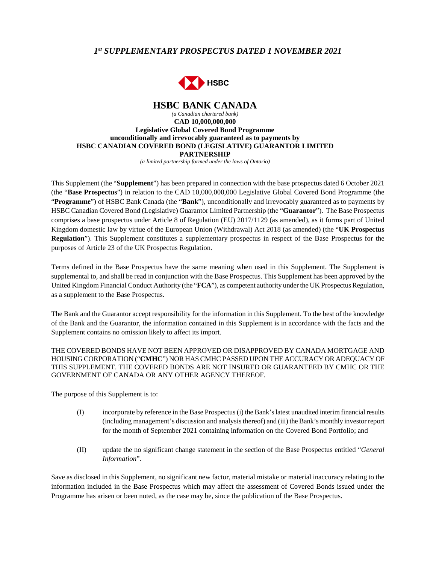# *1 st SUPPLEMENTARY PROSPECTUS DATED 1 NOVEMBER 2021*



#### **HSBC BANK CANADA**  *(a Canadian chartered bank)*  **CAD 10,000,000,000 Legislative Global Covered Bond Programme unconditionally and irrevocably guaranteed as to payments by HSBC CANADIAN COVERED BOND (LEGISLATIVE) GUARANTOR LIMITED PARTNERSHIP**

*(a limited partnership formed under the laws of Ontario)*

This Supplement (the "**Supplement**") has been prepared in connection with the base prospectus dated 6 October 2021 (the "**Base Prospectus**") in relation to the CAD 10,000,000,000 Legislative Global Covered Bond Programme (the "**Programme**") of HSBC Bank Canada (the "**Bank**"), unconditionally and irrevocably guaranteed as to payments by HSBC Canadian Covered Bond (Legislative) Guarantor Limited Partnership (the "**Guarantor**"). The Base Prospectus comprises a base prospectus under Article 8 of Regulation (EU) 2017/1129 (as amended), as it forms part of United Kingdom domestic law by virtue of the European Union (Withdrawal) Act 2018 (as amended) (the "**UK Prospectus Regulation**"). This Supplement constitutes a supplementary prospectus in respect of the Base Prospectus for the purposes of Article 23 of the UK Prospectus Regulation.

Terms defined in the Base Prospectus have the same meaning when used in this Supplement. The Supplement is supplemental to, and shall be read in conjunction with the Base Prospectus. This Supplement has been approved by the United Kingdom Financial Conduct Authority (the "**FCA**"), as competent authority under the UK Prospectus Regulation, as a supplement to the Base Prospectus.

The Bank and the Guarantor accept responsibility for the information in this Supplement. To the best of the knowledge of the Bank and the Guarantor, the information contained in this Supplement is in accordance with the facts and the Supplement contains no omission likely to affect its import.

## THE COVERED BONDS HAVE NOT BEEN APPROVED OR DISAPPROVED BY CANADA MORTGAGE AND HOUSING CORPORATION ("**CMHC**") NOR HAS CMHC PASSED UPON THE ACCURACY OR ADEQUACY OF THIS SUPPLEMENT. THE COVERED BONDS ARE NOT INSURED OR GUARANTEED BY CMHC OR THE GOVERNMENT OF CANADA OR ANY OTHER AGENCY THEREOF.

The purpose of this Supplement is to:

- (I) incorporate by reference in the Base Prospectus (i) the Bank's latest unaudited interim financial results (including management's discussion and analysis thereof) and (iii) the Bank's monthly investor report for the month of September 2021 containing information on the Covered Bond Portfolio; and
- (II) update the no significant change statement in the section of the Base Prospectus entitled "*General Information*".

Save as disclosed in this Supplement, no significant new factor, material mistake or material inaccuracy relating to the information included in the Base Prospectus which may affect the assessment of Covered Bonds issued under the Programme has arisen or been noted, as the case may be, since the publication of the Base Prospectus.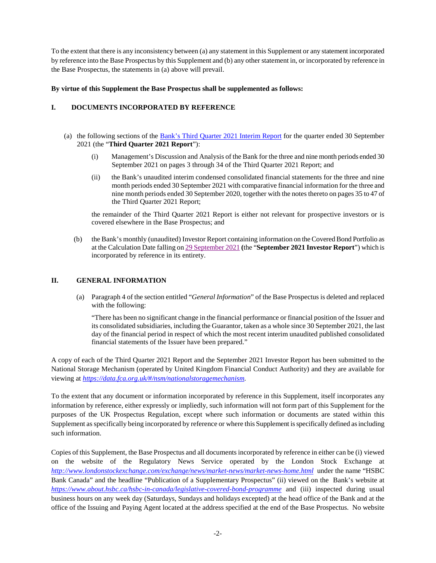To the extent that there is any inconsistency between (a) any statement in this Supplement or any statement incorporated by reference into the Base Prospectus by this Supplement and (b) any other statement in, or incorporated by reference in the Base Prospectus, the statements in (a) above will prevail.

## **By virtue of this Supplement the Base Prospectus shall be supplemented as follows:**

# **I. DOCUMENTS INCORPORATED BY REFERENCE**

- (a) the following sections of the [Bank's Third Quarter 2021 Interim Report](https://data.fca.org.uk/artefacts/NSM/Portal/NI-000036032/NI-000036032.pdf) for the quarter ended 30 September 2021 (the "**Third Quarter 2021 Report**"):
	- (i) Management's Discussion and Analysis of the Bank for the three and nine month periods ended 30 September 2021 on pages 3 through 34 of the Third Quarter 2021 Report; and
	- (ii) the Bank's unaudited interim condensed consolidated financial statements for the three and nine month periods ended 30 September 2021 with comparative financial information for the three and nine month periods ended 30 September 2020, together with the notes thereto on pages 35 to 47 of the Third Quarter 2021 Report;

the remainder of the Third Quarter 2021 Report is either not relevant for prospective investors or is covered elsewhere in the Base Prospectus; and

(b) the Bank's monthly (unaudited) Investor Report containing information on the Covered Bond Portfolio as at the Calculation Date falling on [29 September 2021](https://www.about.hsbc.ca/-/media/canada/en/hsbc-in-canada/legislative-covered-bond-programme/monthly-investor-reports/211022-monthly-investor-report-legislative-sept-2021-pdf.pdf) **(**the "**September 2021 Investor Report**") which is incorporated by reference in its entirety.

#### **II. GENERAL INFORMATION**

(a) Paragraph 4 of the section entitled "*General Information*" of the Base Prospectus is deleted and replaced with the following:

"There has been no significant change in the financial performance or financial position of the Issuer and its consolidated subsidiaries, including the Guarantor, taken as a whole since 30 September 2021, the last day of the financial period in respect of which the most recent interim unaudited published consolidated financial statements of the Issuer have been prepared."

A copy of each of the Third Quarter 2021 Report and the September 2021 Investor Report has been submitted to the National Storage Mechanism (operated by United Kingdom Financial Conduct Authority) and they are available for viewing at *<https://data.fca.org.uk/#/nsm/nationalstoragemechanism>.* 

To the extent that any document or information incorporated by reference in this Supplement, itself incorporates any information by reference, either expressly or impliedly, such information will not form part of this Supplement for the purposes of the UK Prospectus Regulation, except where such information or documents are stated within this Supplement as specifically being incorporated by reference or where this Supplement is specifically defined as including such information.

Copies of this Supplement, the Base Prospectus and all documents incorporated by reference in either can be (i) viewed on the website of the Regulatory News Service operated by the London Stock Exchange at *<http://www.londonstockexchange.com/exchange/news/market-news/market-news-home.html>* under the name "HSBC Bank Canada" and the headline "Publication of a Supplementary Prospectus" (ii) viewed on the Bank's website at *<https://www.about.hsbc.ca/hsbc-in-canada/legislative-covered-bond-programme>* and (iii) inspected during usual business hours on any week day (Saturdays, Sundays and holidays excepted) at the head office of the Bank and at the office of the Issuing and Paying Agent located at the address specified at the end of the Base Prospectus. No website